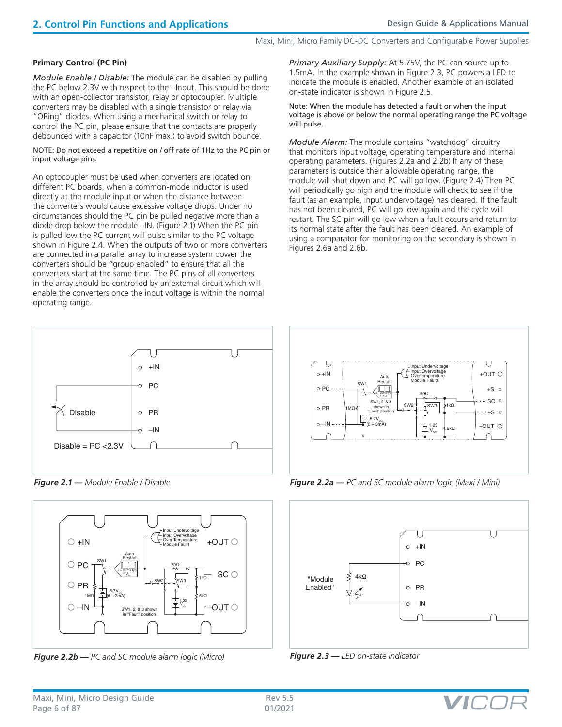### **Primary Control (PC Pin)**

*Module Enable / Disable:* The module can be disabled by pulling the PC below 2.3V with respect to the –Input. This should be done with an open-collector transistor, relay or optocoupler. Multiple converters may be disabled with a single transistor or relay via "ORing" diodes. When using a mechanical switch or relay to control the PC pin, please ensure that the contacts are properly debounced with a capacitor (10nF max.) to avoid switch bounce.

NOTE: Do not exceed a repetitive on / off rate of 1Hz to the PC pin or input voltage pins.

An optocoupler must be used when converters are located on different PC boards, when a common-mode inductor is used directly at the module input or when the distance between the converters would cause excessive voltage drops. Under no circumstances should the PC pin be pulled negative more than a diode drop below the module –IN. (Figure 2.1) When the PC pin is pulled low the PC current will pulse similar to the PC voltage shown in Figure 2.4. When the outputs of two or more converters are connected in a parallel array to increase system power the converters should be "group enabled" to ensure that all the converters start at the same time. The PC pins of all converters in the array should be controlled by an external circuit which will enable the converters once the input voltage is within the normal operating range.

 $\circ$  +IN o PC Disable o PR  $-I<sub>N</sub>$  $\Omega$ Disable =  $PC < 2.3V$ 

*Figure 2.1 — Module Enable / Disable*



*Figure 2.2b — PC and SC module alarm logic (Micro)*

*Primary Auxiliary Supply:* At 5.75V, the PC can source up to 1.5mA. In the example shown in Figure 2.3, PC powers a LED to indicate the module is enabled. Another example of an isolated on-state indicator is shown in Figure 2.5.

Note: When the module has detected a fault or when the input voltage is above or below the normal operating range the PC voltage will pulse.

*Module Alarm:* The module contains "watchdog" circuitry that monitors input voltage, operating temperature and internal operating parameters. (Figures 2.2a and 2.2b) If any of these parameters is outside their allowable operating range, the module will shut down and PC will go low. (Figure 2.4) Then PC will periodically go high and the module will check to see if the fault (as an example, input undervoltage) has cleared. If the fault has not been cleared, PC will go low again and the cycle will restart. The SC pin will go low when a fault occurs and return to its normal state after the fault has been cleared. An example of using a comparator for monitoring on the secondary is shown in Figures 2.6a and 2.6b.



*Figure 2.2a — PC and SC module alarm logic (Maxi / Mini)*







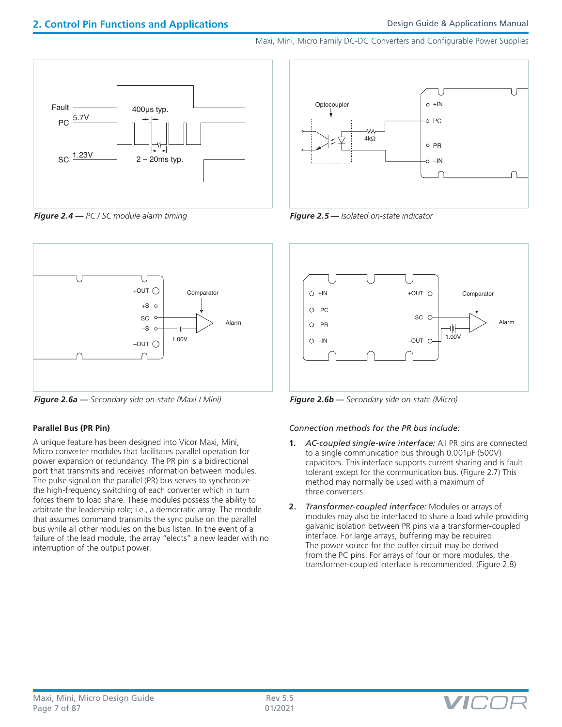

*Figure 2.4 — PC / SC module alarm timing Figure 2.5 — Isolated on-state indicator*



*Figure 2.6a — Secondary side on-state (Maxi / Mini) Figure 2.6b — Secondary side on-state (Micro)*

# **Parallel Bus (PR Pin)**

A unique feature has been designed into Vicor Maxi, Mini, Micro converter modules that facilitates parallel operation for power expansion or redundancy. The PR pin is a bidirectional port that transmits and receives information between modules. The pulse signal on the parallel (PR) bus serves to synchronize the high-frequency switching of each converter which in turn forces them to load share. These modules possess the ability to arbitrate the leadership role; i.e., a democratic array. The module that assumes command transmits the sync pulse on the parallel bus while all other modules on the bus listen. In the event of a failure of the lead module, the array "elects" a new leader with no interruption of the output power.





### *Connection methods for the PR bus include:*

- **1.** *AC-coupled single-wire interface:* All PR pins are connected to a single communication bus through 0.001µF (500V) capacitors. This interface supports current sharing and is fault tolerant except for the communication bus. (Figure 2.7) This method may normally be used with a maximum of three converters.
- **2.** *Transformer-coupled interface:* Modules or arrays of modules may also be interfaced to share a load while providing galvanic isolation between PR pins via a transformer-coupled interface. For large arrays, buffering may be required. The power source for the buffer circuit may be derived from the PC pins. For arrays of four or more modules, the transformer-coupled interface is recommended. (Figure 2.8)

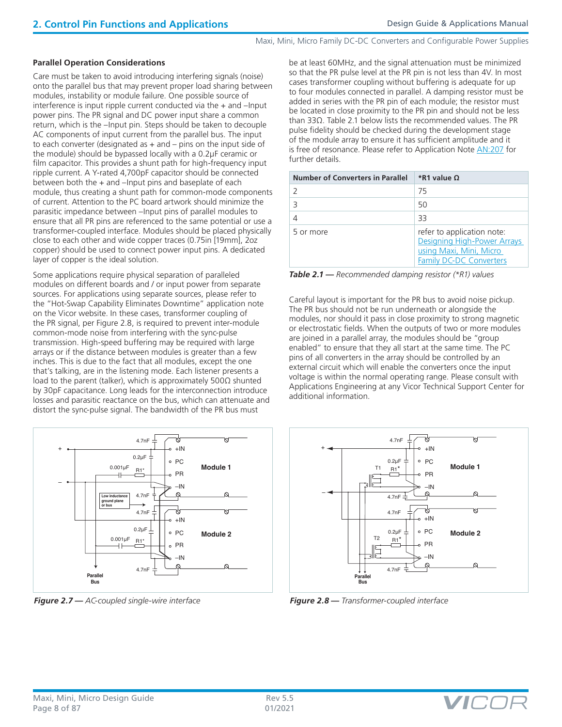#### **Parallel Operation Considerations**

Care must be taken to avoid introducing interfering signals (noise) onto the parallel bus that may prevent proper load sharing between modules, instability or module failure. One possible source of interference is input ripple current conducted via the + and –Input power pins. The PR signal and DC power input share a common return, which is the –Input pin. Steps should be taken to decouple AC components of input current from the parallel bus. The input to each converter (designated as  $+$  and  $-$  pins on the input side of the module) should be bypassed locally with a 0.2µF ceramic or film capacitor. This provides a shunt path for high-frequency input ripple current. A Y-rated 4,700pF capacitor should be connected between both the + and –Input pins and baseplate of each module, thus creating a shunt path for common-mode components of current. Attention to the PC board artwork should minimize the parasitic impedance between –Input pins of parallel modules to ensure that all PR pins are referenced to the same potential or use a transformer-coupled interface. Modules should be placed physically close to each other and wide copper traces (0.75in [19mm], 2oz copper) should be used to connect power input pins. A dedicated layer of copper is the ideal solution.

Some applications require physical separation of paralleled modules on different boards and / or input power from separate sources. For applications using separate sources, please refer to the "Hot-Swap Capability Eliminates Downtime" application note on the Vicor website. In these cases, transformer coupling of the PR signal, per Figure 2.8, is required to prevent inter-module common-mode noise from interfering with the sync-pulse transmission. High-speed buffering may be required with large arrays or if the distance between modules is greater than a few inches. This is due to the fact that all modules, except the one that's talking, are in the listening mode. Each listener presents a load to the parent (talker), which is approximately 500Ω shunted by 30pF capacitance. Long leads for the interconnection introduce losses and parasitic reactance on the bus, which can attenuate and distort the sync-pulse signal. The bandwidth of the PR bus must



*Figure 2.7 — AC-coupled single-wire interface Figure 2.8 — Transformer-coupled interface*

be at least 60MHz, and the signal attenuation must be minimized so that the PR pulse level at the PR pin is not less than 4V. In most cases transformer coupling without buffering is adequate for up to four modules connected in parallel. A damping resistor must be added in series with the PR pin of each module; the resistor must be located in close proximity to the PR pin and should not be less than 33Ω. Table 2.1 below lists the recommended values. The PR pulse fidelity should be checked during the development stage of the module array to ensure it has sufficient amplitude and it is free of resonance. Please refer to Application Note [AN:207](http://www.vicorpower.com/documents/application_notes/AN_Designing%20High-Power%20Arrays.pdf) for further details.

| Number of Converters in Parallel | *R1 value Q                                                                                                            |
|----------------------------------|------------------------------------------------------------------------------------------------------------------------|
|                                  | 75                                                                                                                     |
|                                  | 50                                                                                                                     |
|                                  | 33                                                                                                                     |
| 5 or more                        | refer to application note:<br>Designing High-Power Arrays<br>using Maxi, Mini, Micro<br><b>Family DC-DC Converters</b> |

*Table 2.1 — Recommended damping resistor (\*R1) values*

Careful layout is important for the PR bus to avoid noise pickup. The PR bus should not be run underneath or alongside the modules, nor should it pass in close proximity to strong magnetic or electrostatic fields. When the outputs of two or more modules are joined in a parallel array, the modules should be "group enabled" to ensure that they all start at the same time. The PC pins of all converters in the array should be controlled by an external circuit which will enable the converters once the input voltage is within the normal operating range. Please consult with Applications Engineering at any Vicor Technical Support Center for additional information.





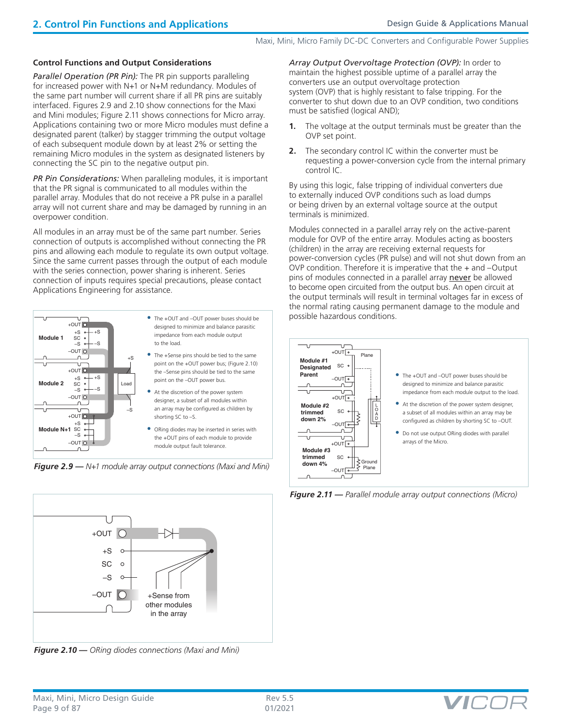### **Control Functions and Output Considerations**

**Parallel Operation (PR Pin):** The PR pin supports paralleling for increased power with N+1 or N+M redundancy. Modules of the same part number will current share if all PR pins are suitably interfaced. Figures 2.9 and 2.10 show connections for the Maxi and Mini modules; Figure 2.11 shows connections for Micro array. Applications containing two or more Micro modules must define a designated parent (talker) by stagger trimming the output voltage of each subsequent module down by at least 2% or setting the remaining Micro modules in the system as designated listeners by connecting the SC pin to the negative output pin.

*PR Pin Considerations:* When paralleling modules, it is important that the PR signal is communicated to all modules within the parallel array. Modules that do not receive a PR pulse in a parallel array will not current share and may be damaged by running in an overpower condition.

All modules in an array must be of the same part number. Series connection of outputs is accomplished without connecting the PR pins and allowing each module to regulate its own output voltage. Since the same current passes through the output of each module with the series connection, power sharing is inherent. Series connection of inputs requires special precautions, please contact Applications Engineering for assistance.



*Figure 2.9 — N+1 module array output connections (Maxi and Mini)*

*Array Output Overvoltage Protection (OVP):* In order to maintain the highest possible uptime of a parallel array the converters use an output overvoltage protection system (OVP) that is highly resistant to false tripping. For the converter to shut down due to an OVP condition, two conditions must be satisfied (logical AND);

- **1.** The voltage at the output terminals must be greater than the OVP set point.
- **2.** The secondary control IC within the converter must be requesting a power-conversion cycle from the internal primary control IC.

By using this logic, false tripping of individual converters due to externally induced OVP conditions such as load dumps or being driven by an external voltage source at the output terminals is minimized.

Modules connected in a parallel array rely on the active-parent module for OVP of the entire array. Modules acting as boosters (children) in the array are receiving external requests for power-conversion cycles (PR pulse) and will not shut down from an OVP condition. Therefore it is imperative that the + and –Output pins of modules connected in a parallel array never be allowed to become open circuited from the output bus. An open circuit at the output terminals will result in terminal voltages far in excess of the normal rating causing permanent damage to the module and possible hazardous conditions.



*Figure 2.11 — Parallel module array output connections (Micro)* 



*Figure 2.10 — ORing diodes connections (Maxi and Mini)*

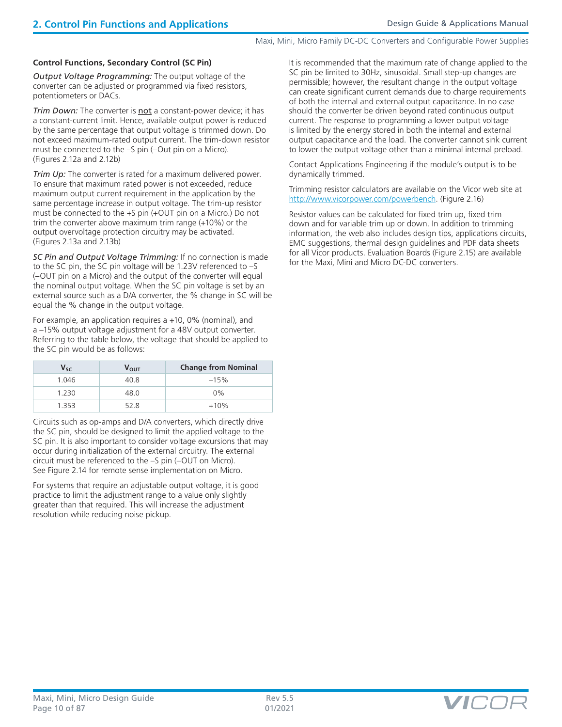### **Control Functions, Secondary Control (SC Pin)**

*Output Voltage Programming:* The output voltage of the converter can be adjusted or programmed via fixed resistors, potentiometers or DACs.

**Trim Down:** The converter is **not** a constant-power device; it has a constant-current limit. Hence, available output power is reduced by the same percentage that output voltage is trimmed down. Do not exceed maximum-rated output current. The trim-down resistor must be connected to the –S pin (–Out pin on a Micro). (Figures 2.12a and 2.12b)

*Trim Up:* The converter is rated for a maximum delivered power. To ensure that maximum rated power is not exceeded, reduce maximum output current requirement in the application by the same percentage increase in output voltage. The trim-up resistor must be connected to the +S pin (+OUT pin on a Micro.) Do not trim the converter above maximum trim range (+10%) or the output overvoltage protection circuitry may be activated. (Figures 2.13a and 2.13b)

*SC Pin and Output Voltage Trimming:* If no connection is made to the SC pin, the SC pin voltage will be 1.23V referenced to –S (–OUT pin on a Micro) and the output of the converter will equal the nominal output voltage. When the SC pin voltage is set by an external source such as a D/A converter, the % change in SC will be equal the % change in the output voltage.

For example, an application requires a +10, 0% (nominal), and a –15% output voltage adjustment for a 48V output converter. Referring to the table below, the voltage that should be applied to the SC pin would be as follows:

| $V_{SC}$ | ν <sub>ουτ</sub> | <b>Change from Nominal</b> |
|----------|------------------|----------------------------|
| 1.046    | 40.8             | $-15%$                     |
| 1.230    | 48.0             | $0\%$                      |
| 1353     | 52 S             | $+10%$                     |

Circuits such as op-amps and D/A converters, which directly drive the SC pin, should be designed to limit the applied voltage to the SC pin. It is also important to consider voltage excursions that may occur during initialization of the external circuitry. The external circuit must be referenced to the –S pin (–OUT on Micro). See Figure 2.14 for remote sense implementation on Micro.

For systems that require an adjustable output voltage, it is good practice to limit the adjustment range to a value only slightly greater than that required. This will increase the adjustment resolution while reducing noise pickup.

It is recommended that the maximum rate of change applied to the SC pin be limited to 30Hz, sinusoidal. Small step-up changes are permissible; however, the resultant change in the output voltage can create significant current demands due to charge requirements of both the internal and external output capacitance. In no case should the converter be driven beyond rated continuous output current. The response to programming a lower output voltage is limited by the energy stored in both the internal and external output capacitance and the load. The converter cannot sink current to lower the output voltage other than a minimal internal preload.

Contact Applications Engineering if the module's output is to be dynamically trimmed.

Trimming resistor calculators are available on the Vicor web site at [http://www.vicorpower.com/powerbench.](http://www.vicorpower.com/powerbench) (Figure 2.16)

Resistor values can be calculated for fixed trim up, fixed trim down and for variable trim up or down. In addition to trimming information, the web also includes design tips, applications circuits, EMC suggestions, thermal design guidelines and PDF data sheets for all Vicor products. Evaluation Boards (Figure 2.15) are available for the Maxi, Mini and Micro DC-DC converters.

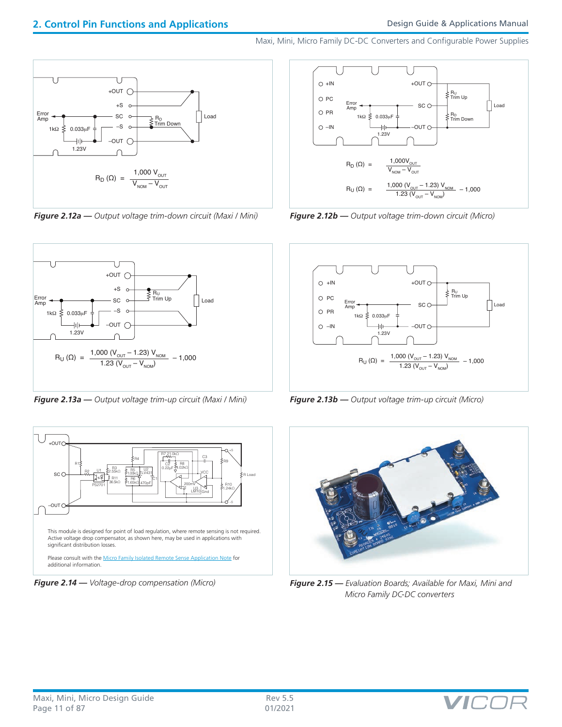

*Figure 2.12a — Output voltage trim-down circuit (Maxi / Mini) Figure 2.12b — Output voltage trim-down circuit (Micro)*



*Figure 2.13a — Output voltage trim-up circuit (Maxi / Mini) Figure 2.13b — Output voltage trim-up circuit (Micro)*









*Figure 2.14 — Voltage-drop compensation (Micro) Figure 2.15 — Evaluation Boards; Available for Maxi, Mini and Micro Family DC-DC converters*